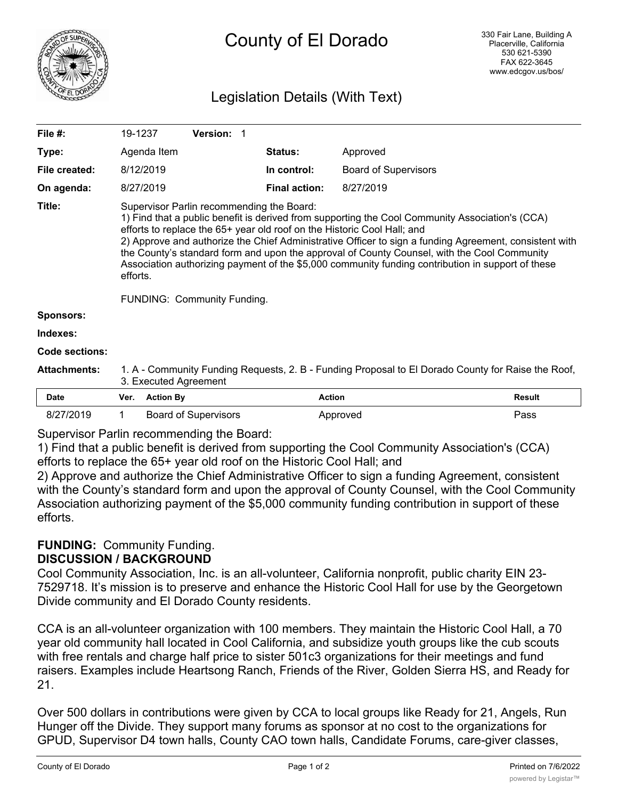

# Legislation Details (With Text)

| File $#$ :          | 19-1237                                                                                                                                                                                                                                                                                                                                                                                                                                                                                                                                                                                 |  |                  |                      | Version: 1                  |                             |         |               |          |               |  |
|---------------------|-----------------------------------------------------------------------------------------------------------------------------------------------------------------------------------------------------------------------------------------------------------------------------------------------------------------------------------------------------------------------------------------------------------------------------------------------------------------------------------------------------------------------------------------------------------------------------------------|--|------------------|----------------------|-----------------------------|-----------------------------|---------|---------------|----------|---------------|--|
| Type:               | Agenda Item                                                                                                                                                                                                                                                                                                                                                                                                                                                                                                                                                                             |  |                  |                      |                             |                             | Status: |               | Approved |               |  |
| File created:       | 8/12/2019                                                                                                                                                                                                                                                                                                                                                                                                                                                                                                                                                                               |  |                  | In control:          |                             | <b>Board of Supervisors</b> |         |               |          |               |  |
| On agenda:          | 8/27/2019                                                                                                                                                                                                                                                                                                                                                                                                                                                                                                                                                                               |  |                  | <b>Final action:</b> |                             | 8/27/2019                   |         |               |          |               |  |
| Title:              | Supervisor Parlin recommending the Board:<br>1) Find that a public benefit is derived from supporting the Cool Community Association's (CCA)<br>efforts to replace the 65+ year old roof on the Historic Cool Hall; and<br>2) Approve and authorize the Chief Administrative Officer to sign a funding Agreement, consistent with<br>the County's standard form and upon the approval of County Counsel, with the Cool Community<br>Association authorizing payment of the \$5,000 community funding contribution in support of these<br>efforts.<br><b>FUNDING: Community Funding.</b> |  |                  |                      |                             |                             |         |               |          |               |  |
| Sponsors:           |                                                                                                                                                                                                                                                                                                                                                                                                                                                                                                                                                                                         |  |                  |                      |                             |                             |         |               |          |               |  |
| Indexes:            |                                                                                                                                                                                                                                                                                                                                                                                                                                                                                                                                                                                         |  |                  |                      |                             |                             |         |               |          |               |  |
| Code sections:      |                                                                                                                                                                                                                                                                                                                                                                                                                                                                                                                                                                                         |  |                  |                      |                             |                             |         |               |          |               |  |
| <b>Attachments:</b> | 1. A - Community Funding Requests, 2. B - Funding Proposal to El Dorado County for Raise the Roof,<br>3. Executed Agreement                                                                                                                                                                                                                                                                                                                                                                                                                                                             |  |                  |                      |                             |                             |         |               |          |               |  |
| <b>Date</b>         | Ver.                                                                                                                                                                                                                                                                                                                                                                                                                                                                                                                                                                                    |  | <b>Action By</b> |                      |                             |                             |         | <b>Action</b> |          | <b>Result</b> |  |
| 8/27/2019           | 1                                                                                                                                                                                                                                                                                                                                                                                                                                                                                                                                                                                       |  |                  |                      | <b>Board of Supervisors</b> |                             |         |               | Approved | Pass          |  |

Supervisor Parlin recommending the Board:

1) Find that a public benefit is derived from supporting the Cool Community Association's (CCA) efforts to replace the 65+ year old roof on the Historic Cool Hall; and

2) Approve and authorize the Chief Administrative Officer to sign a funding Agreement, consistent with the County's standard form and upon the approval of County Counsel, with the Cool Community Association authorizing payment of the \$5,000 community funding contribution in support of these efforts.

#### **FUNDING:** Community Funding. **DISCUSSION / BACKGROUND**

Cool Community Association, Inc. is an all-volunteer, California nonprofit, public charity EIN 23- 7529718. It's mission is to preserve and enhance the Historic Cool Hall for use by the Georgetown Divide community and El Dorado County residents.

CCA is an all-volunteer organization with 100 members. They maintain the Historic Cool Hall, a 70 year old community hall located in Cool California, and subsidize youth groups like the cub scouts with free rentals and charge half price to sister 501c3 organizations for their meetings and fund raisers. Examples include Heartsong Ranch, Friends of the River, Golden Sierra HS, and Ready for 21.

Over 500 dollars in contributions were given by CCA to local groups like Ready for 21, Angels, Run Hunger off the Divide. They support many forums as sponsor at no cost to the organizations for GPUD, Supervisor D4 town halls, County CAO town halls, Candidate Forums, care-giver classes,